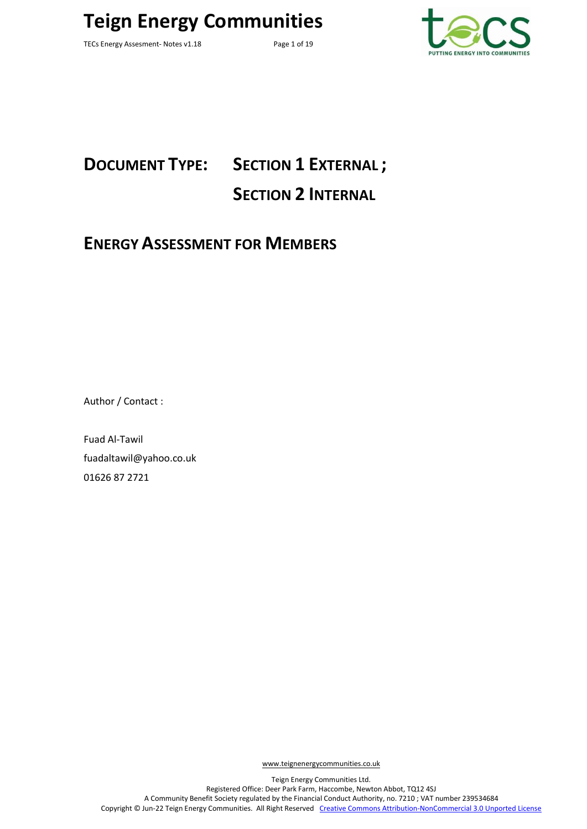TECs Energy Assesment- Notes v1.18 Page 1 of 19



# **DOCUMENT TYPE: SECTION 1 EXTERNAL ; SECTION 2 INTERNAL**

### **ENERGY ASSESSMENT FOR MEMBERS**

Author / Contact :

Fuad Al-Tawil fuadaltawil@yahoo.co.uk 01626 87 2721

[www.teignenergycommunities.co.uk](http://www.transitionnewtonabbot.org.uk/)

Teign Energy Communities Ltd. Registered Office: Deer Park Farm, Haccombe, Newton Abbot, TQ12 4SJ A Community Benefit Society regulated by the Financial Conduct Authority, no. 7210 ; VAT number 239534684 Copyright © Jun-22 Teign Energy Communities. All Right Reserved [Creative Commons Attribution-NonCommercial 3.0 Unported License](http://creativecommons.org/licenses/by-nc/3.0/)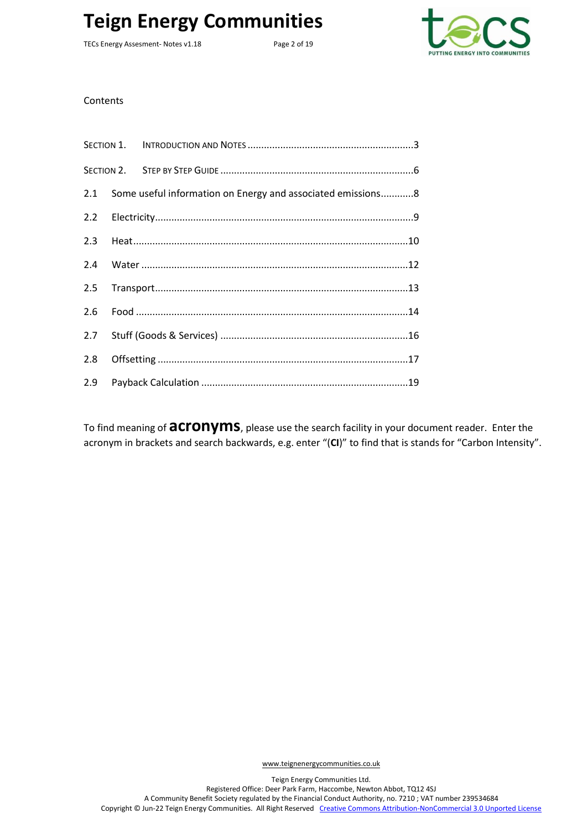TECs Energy Assesment- Notes v1.18 Page 2 of 19



**Contents** 

|     | 2.1 Some useful information on Energy and associated emissions8 |
|-----|-----------------------------------------------------------------|
|     |                                                                 |
|     |                                                                 |
| 2.4 |                                                                 |
|     |                                                                 |
| 2.6 |                                                                 |
|     |                                                                 |
|     |                                                                 |
| 2.9 |                                                                 |

To find meaning of **acronyms**, please use the search facility in your document reader. Enter the acronym in brackets and search backwards, e.g. enter "(**CI**)" to find that is stands for "Carbon Intensity".

Teign Energy Communities Ltd. Registered Office: Deer Park Farm, Haccombe, Newton Abbot, TQ12 4SJ A Community Benefit Society regulated by the Financial Conduct Authority, no. 7210 ; VAT number 239534684 Copyright © Jun-22 Teign Energy Communities. All Right Reserved [Creative Commons Attribution-NonCommercial 3.0 Unported License](http://creativecommons.org/licenses/by-nc/3.0/)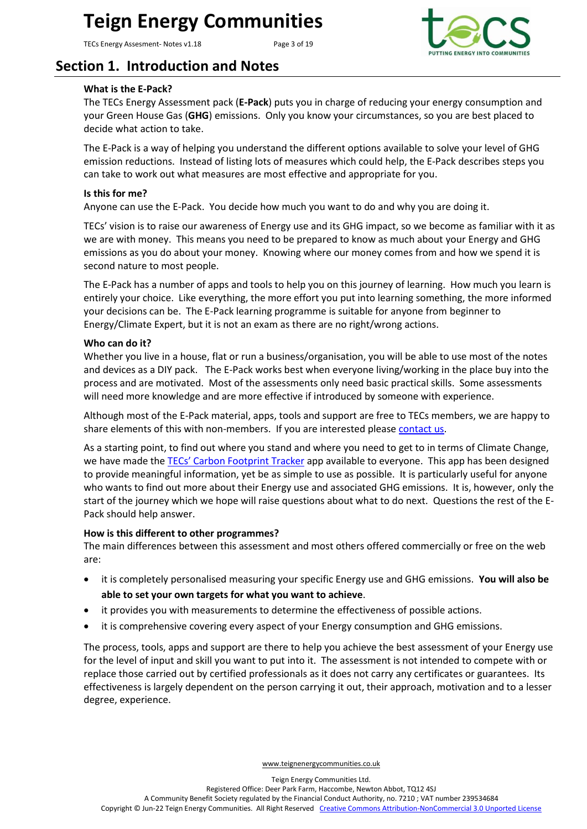TECs Energy Assesment- Notes v1.18 Page 3 of 19



### <span id="page-2-0"></span>**Section 1. Introduction and Notes**

#### **What is the E-Pack?**

The TECs Energy Assessment pack (**E-Pack**) puts you in charge of reducing your energy consumption and your Green House Gas (**GHG**) emissions. Only you know your circumstances, so you are best placed to decide what action to take.

The E-Pack is a way of helping you understand the different options available to solve your level of GHG emission reductions. Instead of listing lots of measures which could help, the E-Pack describes steps you can take to work out what measures are most effective and appropriate for you.

#### **Is this for me?**

Anyone can use the E-Pack. You decide how much you want to do and why you are doing it.

TECs' vision is to raise our awareness of Energy use and its GHG impact, so we become as familiar with it as we are with money. This means you need to be prepared to know as much about your Energy and GHG emissions as you do about your money. Knowing where our money comes from and how we spend it is second nature to most people.

The E-Pack has a number of apps and tools to help you on this journey of learning. How much you learn is entirely your choice. Like everything, the more effort you put into learning something, the more informed your decisions can be. The E-Pack learning programme is suitable for anyone from beginner to Energy/Climate Expert, but it is not an exam as there are no right/wrong actions.

#### **Who can do it?**

Whether you live in a house, flat or run a business/organisation, you will be able to use most of the notes and devices as a DIY pack. The E-Pack works best when everyone living/working in the place buy into the process and are motivated. Most of the assessments only need basic practical skills. Some assessments will need more knowledge and are more effective if introduced by someone with experience.

Although most of the E-Pack material, apps, tools and support are free to TECs members, we are happy to share elements of this with non-members. If you are interested please [contact us.](http://teignenergycommunities.co.uk/contact/)

As a starting point, to find out where you stand and where you need to get to in terms of Climate Change, we have made the [TECs' Carbon Footprint Tracker](http://teignenergycommunities.co.uk/carbonfootprint/carbonfootprint.html) app available to everyone. This app has been designed to provide meaningful information, yet be as simple to use as possible. It is particularly useful for anyone who wants to find out more about their Energy use and associated GHG emissions. It is, however, only the start of the journey which we hope will raise questions about what to do next. Questions the rest of the E-Pack should help answer.

#### **How is this different to other programmes?**

The main differences between this assessment and most others offered commercially or free on the web are:

- it is completely personalised measuring your specific Energy use and GHG emissions. **You will also be able to set your own targets for what you want to achieve**.
- it provides you with measurements to determine the effectiveness of possible actions.
- it is comprehensive covering every aspect of your Energy consumption and GHG emissions.

The process, tools, apps and support are there to help you achieve the best assessment of your Energy use for the level of input and skill you want to put into it. The assessment is not intended to compete with or replace those carried out by certified professionals as it does not carry any certificates or guarantees. Its effectiveness is largely dependent on the person carrying it out, their approach, motivation and to a lesser degree, experience.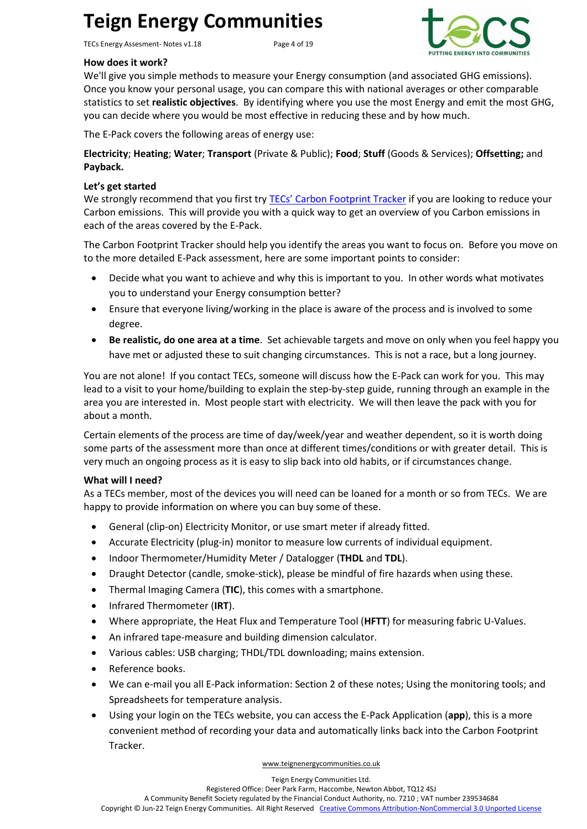TECs Energy Assesment- Notes v1.18 Page 4 of 19



#### **How does it work?**

We'll give you simple methods to measure your Energy consumption (and associated GHG emissions). Once you know your personal usage, you can compare this with national averages or other comparable statistics to set **realistic objectives**. By identifying where you use the most Energy and emit the most GHG, you can decide where you would be most effective in reducing these and by how much.

The E-Pack covers the following areas of energy use:

**Electricity**; **Heating**; **Water**; **Transport** (Private & Public); **Food**; **Stuff** (Goods & Services); **Offsetting;** and **Payback.**

#### **Let's get started**

We strongly recommend that you first try [TECs' Carbon Footprint Tracker](http://teignenergycommunities.co.uk/carbonfootprint/carbonfootprint.html) if you are looking to reduce your Carbon emissions. This will provide you with a quick way to get an overview of you Carbon emissions in each of the areas covered by the E-Pack.

The Carbon Footprint Tracker should help you identify the areas you want to focus on. Before you move on to the more detailed E-Pack assessment, here are some important points to consider:

- Decide what you want to achieve and why this is important to you. In other words what motivates you to understand your Energy consumption better?
- Ensure that everyone living/working in the place is aware of the process and is involved to some degree.
- **Be realistic, do one area at a time**. Set achievable targets and move on only when you feel happy you have met or adjusted these to suit changing circumstances. This is not a race, but a long journey.

You are not alone! If you contact TECs, someone will discuss how the E-Pack can work for you. This may lead to a visit to your home/building to explain the step-by-step guide, running through an example in the area you are interested in. Most people start with electricity. We will then leave the pack with you for about a month.

Certain elements of the process are time of day/week/year and weather dependent, so it is worth doing some parts of the assessment more than once at different times/conditions or with greater detail. This is very much an ongoing process as it is easy to slip back into old habits, or if circumstances change.

#### **What will I need?**

As a TECs member, most of the devices you will need can be loaned for a month or so from TECs. We are happy to provide information on where you can buy some of these.

- General (clip-on) Electricity Monitor, or use smart meter if already fitted.
- Accurate Electricity (plug-in) monitor to measure low currents of individual equipment.
- Indoor Thermometer/Humidity Meter / Datalogger (**THDL** and **TDL**).
- Draught Detector (candle, smoke-stick), please be mindful of fire hazards when using these.
- Thermal Imaging Camera (**TIC**), this comes with a smartphone.
- Infrared Thermometer (**IRT**).
- Where appropriate, the Heat Flux and Temperature Tool (**HFTT**) for measuring fabric U-Values.
- An infrared tape-measure and building dimension calculator.
- Various cables: USB charging; THDL/TDL downloading; mains extension.
- Reference books.
- We can e-mail you all E-Pack information: Section 2 of these notes; Using the monitoring tools; and Spreadsheets for temperature analysis.
- Using your login on the TECs website, you can access the E-Pack Application (**app**), this is a more convenient method of recording your data and automatically links back into the Carbon Footprint Tracker.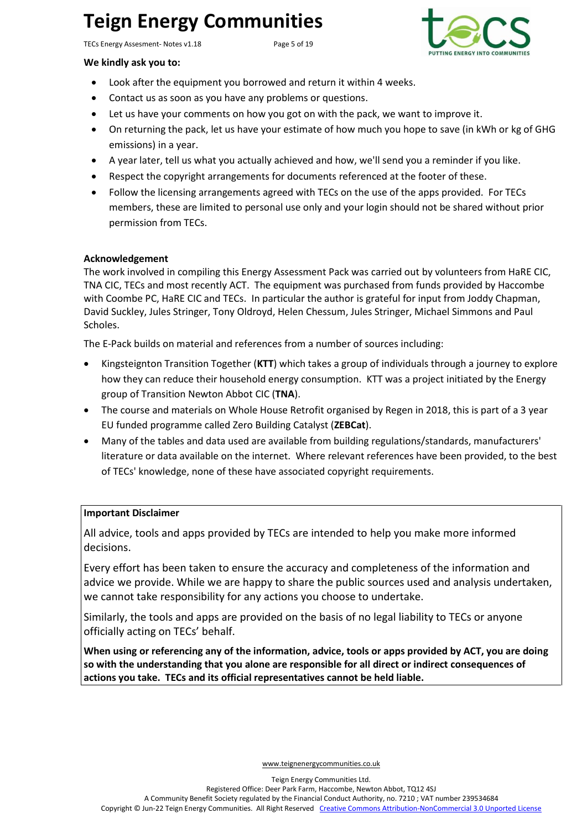TECs Energy Assesment- Notes v1.18 Page 5 of 19



#### **We kindly ask you to:**

- Look after the equipment you borrowed and return it within 4 weeks.
- Contact us as soon as you have any problems or questions.
- Let us have your comments on how you got on with the pack, we want to improve it.
- On returning the pack, let us have your estimate of how much you hope to save (in kWh or kg of GHG emissions) in a year.
- A year later, tell us what you actually achieved and how, we'll send you a reminder if you like.
- Respect the copyright arrangements for documents referenced at the footer of these.
- Follow the licensing arrangements agreed with TECs on the use of the apps provided. For TECs members, these are limited to personal use only and your login should not be shared without prior permission from TECs.

#### **Acknowledgement**

The work involved in compiling this Energy Assessment Pack was carried out by volunteers from HaRE CIC, TNA CIC, TECs and most recently ACT. The equipment was purchased from funds provided by Haccombe with Coombe PC, HaRE CIC and TECs. In particular the author is grateful for input from Joddy Chapman, David Suckley, Jules Stringer, Tony Oldroyd, Helen Chessum, Jules Stringer, Michael Simmons and Paul Scholes.

The E-Pack builds on material and references from a number of sources including:

- Kingsteignton Transition Together (**KTT**) which takes a group of individuals through a journey to explore how they can reduce their household energy consumption. KTT was a project initiated by the Energy group of Transition Newton Abbot CIC (**TNA**).
- The course and materials on Whole House Retrofit organised by Regen in 2018, this is part of a 3 year EU funded programme called Zero Building Catalyst (**ZEBCat**).
- Many of the tables and data used are available from building regulations/standards, manufacturers' literature or data available on the internet. Where relevant references have been provided, to the best of TECs' knowledge, none of these have associated copyright requirements.

#### **Important Disclaimer**

All advice, tools and apps provided by TECs are intended to help you make more informed decisions.

Every effort has been taken to ensure the accuracy and completeness of the information and advice we provide. While we are happy to share the public sources used and analysis undertaken, we cannot take responsibility for any actions you choose to undertake.

Similarly, the tools and apps are provided on the basis of no legal liability to TECs or anyone officially acting on TECs' behalf.

**When using or referencing any of the information, advice, tools or apps provided by ACT, you are doing so with the understanding that you alone are responsible for all direct or indirect consequences of actions you take. TECs and its official representatives cannot be held liable.**

[www.teignenergycommunities.co.uk](http://www.transitionnewtonabbot.org.uk/)

Registered Office: Deer Park Farm, Haccombe, Newton Abbot, TQ12 4SJ

A Community Benefit Society regulated by the Financial Conduct Authority, no. 7210 ; VAT number 239534684

Copyright © Jun-22 Teign Energy Communities. All Right Reserved [Creative Commons Attribution-NonCommercial 3.0 Unported License](http://creativecommons.org/licenses/by-nc/3.0/)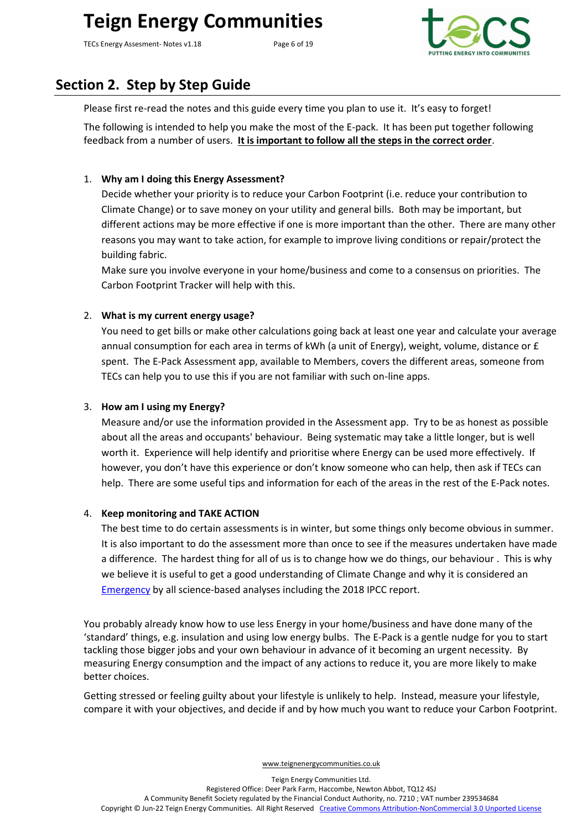TECs Energy Assesment- Notes v1.18 Page 6 of 19



### <span id="page-5-0"></span>**Section 2. Step by Step Guide**

Please first re-read the notes and this guide every time you plan to use it. It's easy to forget!

The following is intended to help you make the most of the E-pack. It has been put together following feedback from a number of users. **It is important to follow all the steps in the correct order**.

#### 1. **Why am I doing this Energy Assessment?**

Decide whether your priority is to reduce your Carbon Footprint (i.e. reduce your contribution to Climate Change) or to save money on your utility and general bills. Both may be important, but different actions may be more effective if one is more important than the other. There are many other reasons you may want to take action, for example to improve living conditions or repair/protect the building fabric.

Make sure you involve everyone in your home/business and come to a consensus on priorities. The Carbon Footprint Tracker will help with this.

#### 2. **What is my current energy usage?**

You need to get bills or make other calculations going back at least one year and calculate your average annual consumption for each area in terms of kWh (a unit of Energy), weight, volume, distance or £ spent. The E-Pack Assessment app, available to Members, covers the different areas, someone from TECs can help you to use this if you are not familiar with such on-line apps.

#### 3. **How am I using my Energy?**

Measure and/or use the information provided in the Assessment app. Try to be as honest as possible about all the areas and occupants' behaviour. Being systematic may take a little longer, but is well worth it. Experience will help identify and prioritise where Energy can be used more effectively. If however, you don't have this experience or don't know someone who can help, then ask if TECs can help. There are some useful tips and information for each of the areas in the rest of the E-Pack notes.

#### 4. **Keep monitoring and TAKE ACTION**

The best time to do certain assessments is in winter, but some things only become obvious in summer. It is also important to do the assessment more than once to see if the measures undertaken have made a difference. The hardest thing for all of us is to change how we do things, our behaviour . This is why we believe it is useful to get a good understanding of Climate Change and why it is considered an [Emergency](https://actionclimateteignbridge.org/wp-content/uploads/2020/03/ACT-TP-Pack-Emergency-v1.0.pdf) by all science-based analyses including the 2018 IPCC report.

You probably already know how to use less Energy in your home/business and have done many of the 'standard' things, e.g. insulation and using low energy bulbs. The E-Pack is a gentle nudge for you to start tackling those bigger jobs and your own behaviour in advance of it becoming an urgent necessity. By measuring Energy consumption and the impact of any actions to reduce it, you are more likely to make better choices.

Getting stressed or feeling guilty about your lifestyle is unlikely to help. Instead, measure your lifestyle, compare it with your objectives, and decide if and by how much you want to reduce your Carbon Footprint.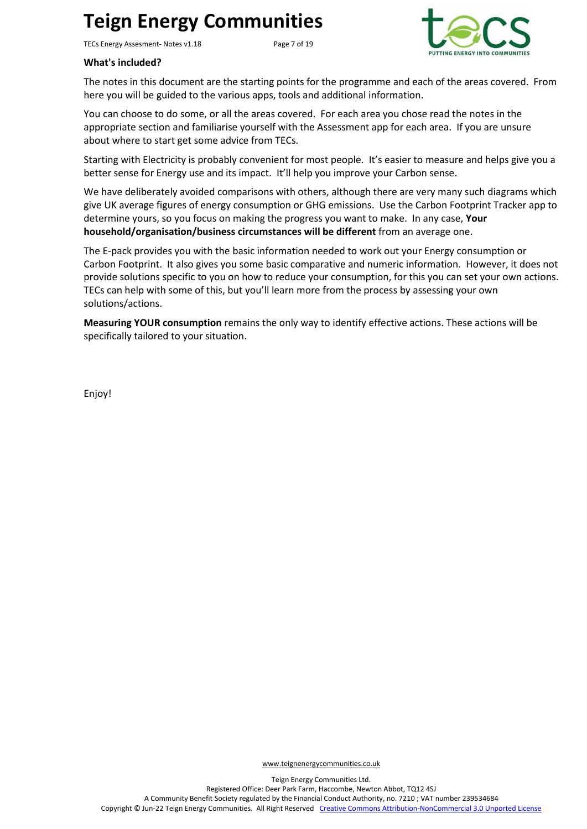TECs Energy Assesment- Notes v1.18 Page 7 of 19



#### **What's included?**

The notes in this document are the starting points for the programme and each of the areas covered. From here you will be guided to the various apps, tools and additional information.

You can choose to do some, or all the areas covered. For each area you chose read the notes in the appropriate section and familiarise yourself with the Assessment app for each area. If you are unsure about where to start get some advice from TECs.

Starting with Electricity is probably convenient for most people. It's easier to measure and helps give you a better sense for Energy use and its impact. It'll help you improve your Carbon sense.

We have deliberately avoided comparisons with others, although there are very many such diagrams which give UK average figures of energy consumption or GHG emissions. Use the Carbon Footprint Tracker app to determine yours, so you focus on making the progress you want to make. In any case, **Your household/organisation/business circumstances will be different** from an average one.

The E-pack provides you with the basic information needed to work out your Energy consumption or Carbon Footprint. It also gives you some basic comparative and numeric information. However, it does not provide solutions specific to you on how to reduce your consumption, for this you can set your own actions. TECs can help with some of this, but you'll learn more from the process by assessing your own solutions/actions.

**Measuring YOUR consumption** remains the only way to identify effective actions. These actions will be specifically tailored to your situation.

Enjoy!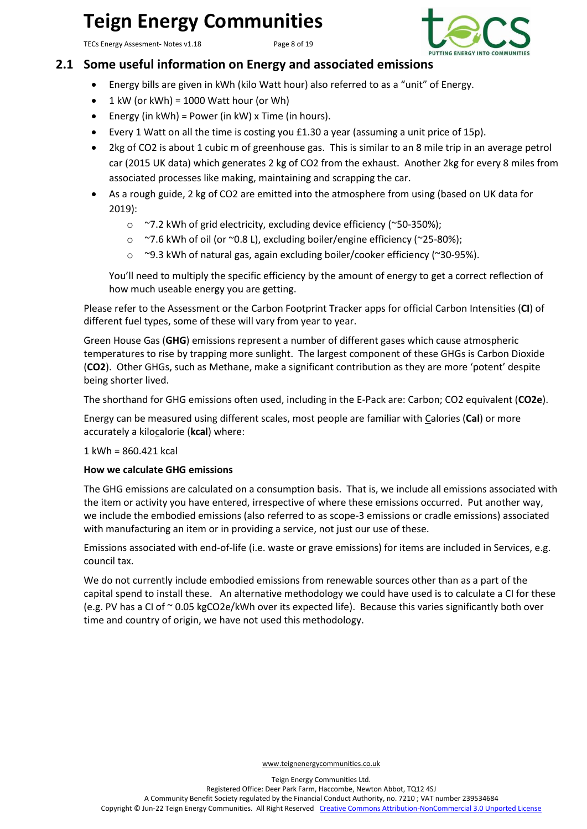TECs Energy Assesment- Notes v1.18 Page 8 of 19



### <span id="page-7-0"></span>**2.1 Some useful information on Energy and associated emissions**

- Energy bills are given in kWh (kilo Watt hour) also referred to as a "unit" of Energy.
- $1$  kW (or kWh) = 1000 Watt hour (or Wh)
- Energy (in  $kWh$ ) = Power (in  $kW$ ) x Time (in hours).
- Every 1 Watt on all the time is costing you £1.30 a year (assuming a unit price of 15p).
- 2kg of CO2 is about 1 cubic m of greenhouse gas. This is similar to an 8 mile trip in an average petrol car (2015 UK data) which generates 2 kg of CO2 from the exhaust. Another 2kg for every 8 miles from associated processes like making, maintaining and scrapping the car.
- As a rough guide, 2 kg of CO2 are emitted into the atmosphere from using (based on UK data for 2019):
	- o ~7.2 kWh of grid electricity, excluding device efficiency (~50-350%);
	- o ~7.6 kWh of oil (or ~0.8 L), excluding boiler/engine efficiency (~25-80%);
	- o ~9.3 kWh of natural gas, again excluding boiler/cooker efficiency (~30-95%).

You'll need to multiply the specific efficiency by the amount of energy to get a correct reflection of how much useable energy you are getting.

Please refer to the Assessment or the Carbon Footprint Tracker apps for official Carbon Intensities (**CI**) of different fuel types, some of these will vary from year to year.

Green House Gas (**GHG**) emissions represent a number of different gases which cause atmospheric temperatures to rise by trapping more sunlight. The largest component of these GHGs is Carbon Dioxide (**CO2**). Other GHGs, such as Methane, make a significant contribution as they are more 'potent' despite being shorter lived.

The shorthand for GHG emissions often used, including in the E-Pack are: Carbon; CO2 equivalent (**CO2e**).

Energy can be measured using different scales, most people are familiar with Calories (**Cal**) or more accurately a kilocalorie (**kcal**) where:

#### 1 kWh = 860.421 kcal

#### **How we calculate GHG emissions**

The GHG emissions are calculated on a consumption basis. That is, we include all emissions associated with the item or activity you have entered, irrespective of where these emissions occurred. Put another way, we include the embodied emissions (also referred to as scope-3 emissions or cradle emissions) associated with manufacturing an item or in providing a service, not just our use of these.

Emissions associated with end-of-life (i.e. waste or grave emissions) for items are included in Services, e.g. council tax.

We do not currently include embodied emissions from renewable sources other than as a part of the capital spend to install these. An alternative methodology we could have used is to calculate a CI for these (e.g. PV has a CI of ~ 0.05 kgCO2e/kWh over its expected life). Because this varies significantly both over time and country of origin, we have not used this methodology.

[www.teignenergycommunities.co.uk](http://www.transitionnewtonabbot.org.uk/)

Registered Office: Deer Park Farm, Haccombe, Newton Abbot, TQ12 4SJ

A Community Benefit Society regulated by the Financial Conduct Authority, no. 7210 ; VAT number 239534684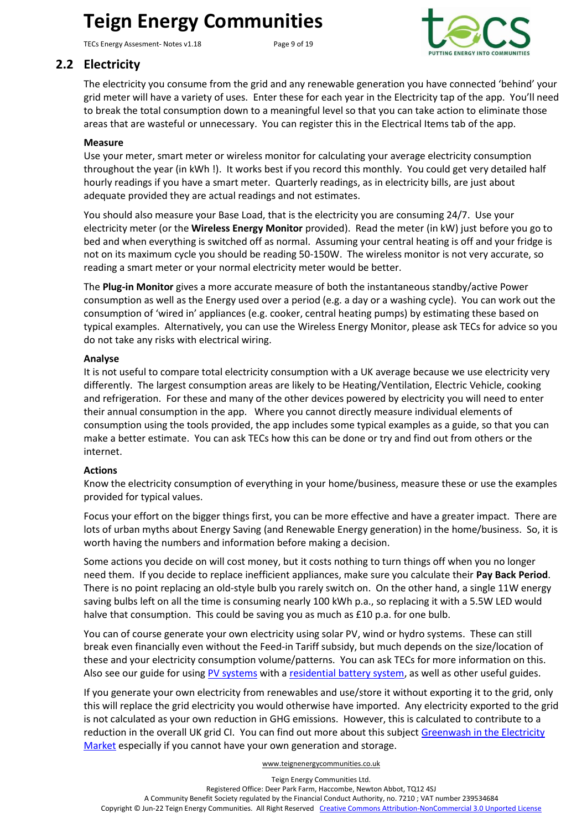TECs Energy Assesment- Notes v1.18 Page 9 of 19



### <span id="page-8-0"></span>**2.2 Electricity**

The electricity you consume from the grid and any renewable generation you have connected 'behind' your grid meter will have a variety of uses. Enter these for each year in the Electricity tap of the app. You'll need to break the total consumption down to a meaningful level so that you can take action to eliminate those areas that are wasteful or unnecessary. You can register this in the Electrical Items tab of the app.

#### **Measure**

Use your meter, smart meter or wireless monitor for calculating your average electricity consumption throughout the year (in kWh !). It works best if you record this monthly. You could get very detailed half hourly readings if you have a smart meter. Quarterly readings, as in electricity bills, are just about adequate provided they are actual readings and not estimates.

You should also measure your Base Load, that is the electricity you are consuming 24/7. Use your electricity meter (or the **Wireless Energy Monitor** provided). Read the meter (in kW) just before you go to bed and when everything is switched off as normal. Assuming your central heating is off and your fridge is not on its maximum cycle you should be reading 50-150W. The wireless monitor is not very accurate, so reading a smart meter or your normal electricity meter would be better.

The **Plug-in Monitor** gives a more accurate measure of both the instantaneous standby/active Power consumption as well as the Energy used over a period (e.g. a day or a washing cycle). You can work out the consumption of 'wired in' appliances (e.g. cooker, central heating pumps) by estimating these based on typical examples. Alternatively, you can use the Wireless Energy Monitor, please ask TECs for advice so you do not take any risks with electrical wiring.

#### **Analyse**

It is not useful to compare total electricity consumption with a UK average because we use electricity very differently. The largest consumption areas are likely to be Heating/Ventilation, Electric Vehicle, cooking and refrigeration. For these and many of the other devices powered by electricity you will need to enter their annual consumption in the app. Where you cannot directly measure individual elements of consumption using the tools provided, the app includes some typical examples as a guide, so that you can make a better estimate. You can ask TECs how this can be done or try and find out from others or the internet.

#### **Actions**

Know the electricity consumption of everything in your home/business, measure these or use the examples provided for typical values.

Focus your effort on the bigger things first, you can be more effective and have a greater impact. There are lots of urban myths about Energy Saving (and Renewable Energy generation) in the home/business. So, it is worth having the numbers and information before making a decision.

Some actions you decide on will cost money, but it costs nothing to turn things off when you no longer need them. If you decide to replace inefficient appliances, make sure you calculate their **Pay Back Period**. There is no point replacing an old-style bulb you rarely switch on. On the other hand, a single 11W energy saving bulbs left on all the time is consuming nearly 100 kWh p.a., so replacing it with a 5.5W LED would halve that consumption. This could be saving you as much as £10 p.a. for one bulb.

You can of course generate your own electricity using solar PV, wind or hydro systems. These can still break even financially even without the Feed-in Tariff subsidy, but much depends on the size/location of these and your electricity consumption volume/patterns. You can ask TECs for more information on this. Also see our guide for using PV [systems](http://teignenergycommunities.co.uk/about-tecs/documents/#1601631878093-5aff361c-934a) with [a residential battery system,](http://teignenergycommunities.co.uk/about-tecs/documents/#1601631878093-5aff361c-934a) as well as other useful guides.

If you generate your own electricity from renewables and use/store it without exporting it to the grid, only this will replace the grid electricity you would otherwise have imported. Any electricity exported to the grid is not calculated as your own reduction in GHG emissions. However, this is calculated to contribute to a reduction in the overall UK grid CI. You can find out more about this subject Greenwash in the Electricity [Market](http://teignenergycommunities.co.uk/about-tecs/documents/#1601631878093-5aff361c-934a) especially if you cannot have your own generation and storage.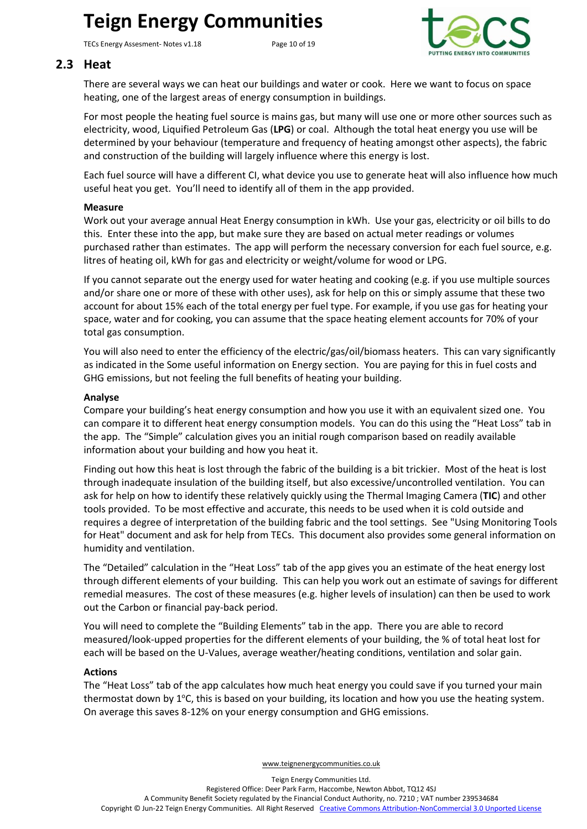TECs Energy Assesment- Notes v1.18 Page 10 of 19



### <span id="page-9-0"></span>**2.3 Heat**

There are several ways we can heat our buildings and water or cook. Here we want to focus on space heating, one of the largest areas of energy consumption in buildings.

For most people the heating fuel source is mains gas, but many will use one or more other sources such as electricity, wood, Liquified Petroleum Gas (**LPG**) or coal. Although the total heat energy you use will be determined by your behaviour (temperature and frequency of heating amongst other aspects), the fabric and construction of the building will largely influence where this energy is lost.

Each fuel source will have a different CI, what device you use to generate heat will also influence how much useful heat you get. You'll need to identify all of them in the app provided.

#### **Measure**

Work out your average annual Heat Energy consumption in kWh. Use your gas, electricity or oil bills to do this. Enter these into the app, but make sure they are based on actual meter readings or volumes purchased rather than estimates. The app will perform the necessary conversion for each fuel source, e.g. litres of heating oil, kWh for gas and electricity or weight/volume for wood or LPG.

If you cannot separate out the energy used for water heating and cooking (e.g. if you use multiple sources and/or share one or more of these with other uses), ask for help on this or simply assume that these two account for about 15% each of the total energy per fuel type. For example, if you use gas for heating your space, water and for cooking, you can assume that the space heating element accounts for 70% of your total gas consumption.

You will also need to enter the efficiency of the electric/gas/oil/biomass heaters. This can vary significantly as indicated in the [Some useful information on Energy](#page-7-0) section. You are paying for this in fuel costs and GHG emissions, but not feeling the full benefits of heating your building.

#### **Analyse**

Compare your building's heat energy consumption and how you use it with an equivalent sized one. You can compare it to different heat energy consumption models. You can do this using the "Heat Loss" tab in the app. The "Simple" calculation gives you an initial rough comparison based on readily available information about your building and how you heat it.

Finding out how this heat is lost through the fabric of the building is a bit trickier. Most of the heat is lost through inadequate insulation of the building itself, but also excessive/uncontrolled ventilation. You can ask for help on how to identify these relatively quickly using the Thermal Imaging Camera (**TIC**) and other tools provided. To be most effective and accurate, this needs to be used when it is cold outside and requires a degree of interpretation of the building fabric and the tool settings. See "Using Monitoring Tools for Heat" document and ask for help from TECs. This document also provides some general information on humidity and ventilation.

The "Detailed" calculation in the "Heat Loss" tab of the app gives you an estimate of the heat energy lost through different elements of your building. This can help you work out an estimate of savings for different remedial measures. The cost of these measures (e.g. higher levels of insulation) can then be used to work out the Carbon or financial pay-back period.

You will need to complete the "Building Elements" tab in the app. There you are able to record measured/look-upped properties for the different elements of your building, the % of total heat lost for each will be based on the U-Values, average weather/heating conditions, ventilation and solar gain.

#### **Actions**

The "Heat Loss" tab of the app calculates how much heat energy you could save if you turned your main thermostat down by  $1^{\circ}$ C, this is based on your building, its location and how you use the heating system. On average this saves 8-12% on your energy consumption and GHG emissions.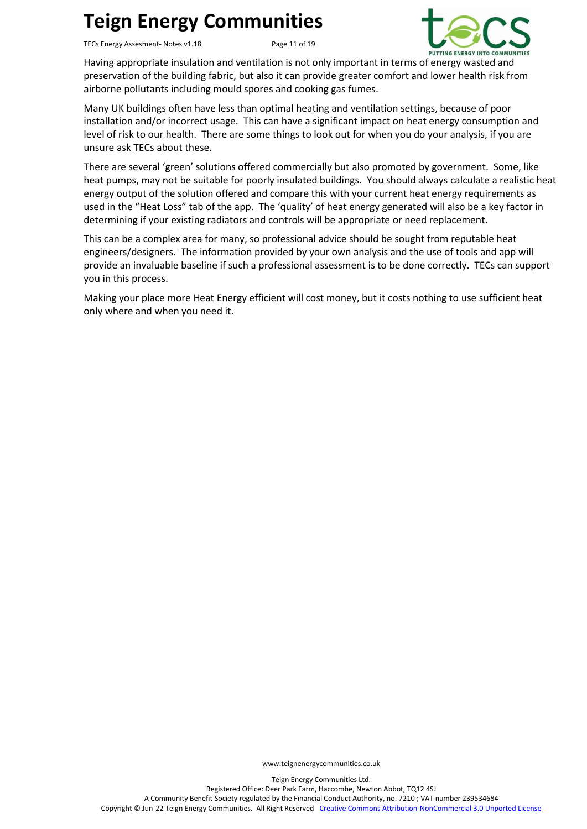TECs Energy Assesment- Notes v1.18 Page 11 of 19



Having appropriate insulation and ventilation is not only important in terms of energy wasted and preservation of the building fabric, but also it can provide greater comfort and lower health risk from airborne pollutants including mould spores and cooking gas fumes.

Many UK buildings often have less than optimal heating and ventilation settings, because of poor installation and/or incorrect usage. This can have a significant impact on heat energy consumption and level of risk to our health. There are some things to look out for when you do your analysis, if you are unsure ask TECs about these.

There are several 'green' solutions offered commercially but also promoted by government. Some, like heat pumps, may not be suitable for poorly insulated buildings. You should always calculate a realistic heat energy output of the solution offered and compare this with your current heat energy requirements as used in the "Heat Loss" tab of the app. The 'quality' of heat energy generated will also be a key factor in determining if your existing radiators and controls will be appropriate or need replacement.

This can be a complex area for many, so professional advice should be sought from reputable heat engineers/designers. The information provided by your own analysis and the use of tools and app will provide an invaluable baseline if such a professional assessment is to be done correctly. TECs can support you in this process.

Making your place more Heat Energy efficient will cost money, but it costs nothing to use sufficient heat only where and when you need it.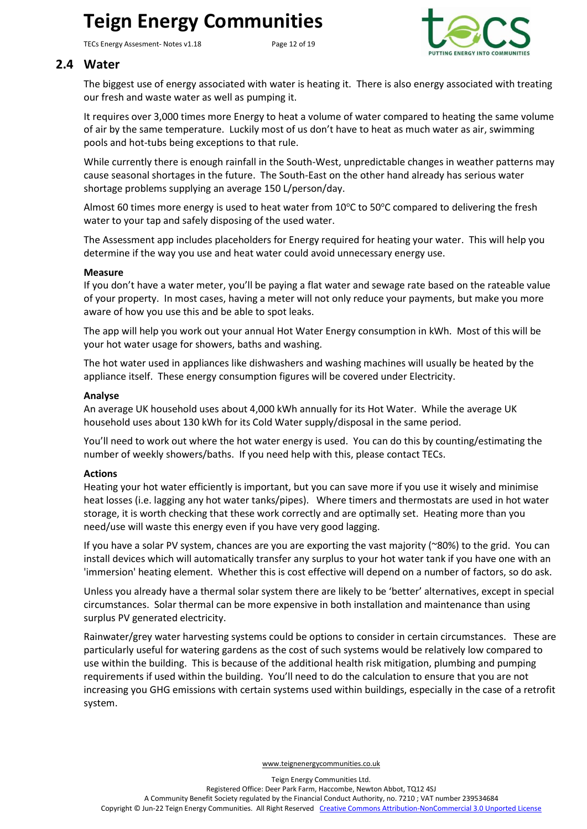TECs Energy Assesment- Notes v1.18 Page 12 of 19



### <span id="page-11-0"></span>**2.4 Water**

The biggest use of energy associated with water is heating it. There is also energy associated with treating our fresh and waste water as well as pumping it.

It requires over 3,000 times more Energy to heat a volume of water compared to heating the same volume of air by the same temperature. Luckily most of us don't have to heat as much water as air, swimming pools and hot-tubs being exceptions to that rule.

While currently there is enough rainfall in the South-West, unpredictable changes in weather patterns may cause seasonal shortages in the future. The South-East on the other hand already has serious water shortage problems supplying an average 150 L/person/day.

Almost 60 times more energy is used to heat water from  $10^{\circ}$ C to 50 $^{\circ}$ C compared to delivering the fresh water to your tap and safely disposing of the used water.

The Assessment app includes placeholders for Energy required for heating your water. This will help you determine if the way you use and heat water could avoid unnecessary energy use.

#### **Measure**

If you don't have a water meter, you'll be paying a flat water and sewage rate based on the rateable value of your property. In most cases, having a meter will not only reduce your payments, but make you more aware of how you use this and be able to spot leaks.

The app will help you work out your annual Hot Water Energy consumption in kWh. Most of this will be your hot water usage for showers, baths and washing.

The hot water used in appliances like dishwashers and washing machines will usually be heated by the appliance itself. These energy consumption figures will be covered under Electricity.

#### **Analyse**

An average UK household uses about 4,000 kWh annually for its Hot Water. While the average UK household uses about 130 kWh for its Cold Water supply/disposal in the same period.

You'll need to work out where the hot water energy is used. You can do this by counting/estimating the number of weekly showers/baths. If you need help with this, please contact TECs.

#### **Actions**

Heating your hot water efficiently is important, but you can save more if you use it wisely and minimise heat losses (i.e. lagging any hot water tanks/pipes). Where timers and thermostats are used in hot water storage, it is worth checking that these work correctly and are optimally set. Heating more than you need/use will waste this energy even if you have very good lagging.

If you have a solar PV system, chances are you are exporting the vast majority (~80%) to the grid. You can install devices which will automatically transfer any surplus to your hot water tank if you have one with an 'immersion' heating element. Whether this is cost effective will depend on a number of factors, so do ask.

Unless you already have a thermal solar system there are likely to be 'better' alternatives, except in special circumstances. Solar thermal can be more expensive in both installation and maintenance than using surplus PV generated electricity.

Rainwater/grey water harvesting systems could be options to consider in certain circumstances. These are particularly useful for watering gardens as the cost of such systems would be relatively low compared to use within the building. This is because of the additional health risk mitigation, plumbing and pumping requirements if used within the building. You'll need to do the calculation to ensure that you are not increasing you GHG emissions with certain systems used within buildings, especially in the case of a retrofit system.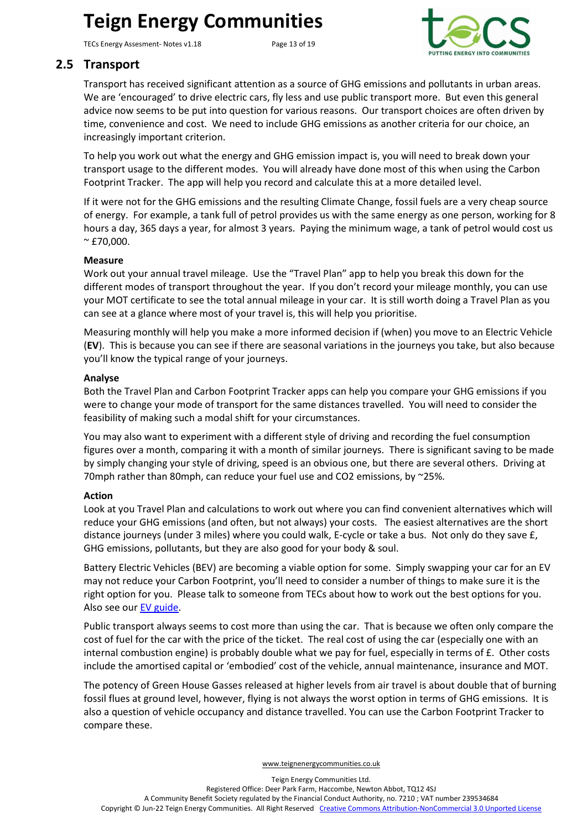TECs Energy Assesment- Notes v1.18 Page 13 of 19



### <span id="page-12-0"></span>**2.5 Transport**

Transport has received significant attention as a source of GHG emissions and pollutants in urban areas. We are 'encouraged' to drive electric cars, fly less and use public transport more. But even this general advice now seems to be put into question for various reasons. Our transport choices are often driven by time, convenience and cost. We need to include GHG emissions as another criteria for our choice, an increasingly important criterion.

To help you work out what the energy and GHG emission impact is, you will need to break down your transport usage to the different modes. You will already have done most of this when using the Carbon Footprint Tracker. The app will help you record and calculate this at a more detailed level.

If it were not for the GHG emissions and the resulting Climate Change, fossil fuels are a very cheap source of energy. For example, a tank full of petrol provides us with the same energy as one person, working for 8 hours a day, 365 days a year, for almost 3 years. Paying the minimum wage, a tank of petrol would cost us  $~^{\sim}$  £70,000.

#### **Measure**

Work out your annual travel mileage. Use the "Travel Plan" app to help you break this down for the different modes of transport throughout the year. If you don't record your mileage monthly, you can use your MOT certificate to see the total annual mileage in your car. It is still worth doing a Travel Plan as you can see at a glance where most of your travel is, this will help you prioritise.

Measuring monthly will help you make a more informed decision if (when) you move to an Electric Vehicle (**EV**). This is because you can see if there are seasonal variations in the journeys you take, but also because you'll know the typical range of your journeys.

#### **Analyse**

Both the Travel Plan and Carbon Footprint Tracker apps can help you compare your GHG emissions if you were to change your mode of transport for the same distances travelled. You will need to consider the feasibility of making such a modal shift for your circumstances.

You may also want to experiment with a different style of driving and recording the fuel consumption figures over a month, comparing it with a month of similar journeys. There is significant saving to be made by simply changing your style of driving, speed is an obvious one, but there are several others. Driving at 70mph rather than 80mph, can reduce your fuel use and CO2 emissions, by ~25%.

#### **Action**

Look at you Travel Plan and calculations to work out where you can find convenient alternatives which will reduce your GHG emissions (and often, but not always) your costs. The easiest alternatives are the short distance journeys (under 3 miles) where you could walk, E-cycle or take a bus. Not only do they save £, GHG emissions, pollutants, but they are also good for your body & soul.

Battery Electric Vehicles (BEV) are becoming a viable option for some. Simply swapping your car for an EV may not reduce your Carbon Footprint, you'll need to consider a number of things to make sure it is the right option for you. Please talk to someone from TECs about how to work out the best options for you. Also see our [EV guide.](http://teignenergycommunities.co.uk/wp-content/uploads/2018/05/TECs-Local-Supply-Model-Options-v1.1.pdf)

Public transport always seems to cost more than using the car. That is because we often only compare the cost of fuel for the car with the price of the ticket. The real cost of using the car (especially one with an internal combustion engine) is probably double what we pay for fuel, especially in terms of £. Other costs include the amortised capital or 'embodied' cost of the vehicle, annual maintenance, insurance and MOT.

The potency of Green House Gasses released at higher levels from air travel is about double that of burning fossil flues at ground level, however, flying is not always the worst option in terms of GHG emissions. It is also a question of vehicle occupancy and distance travelled. You can use the Carbon Footprint Tracker to compare these.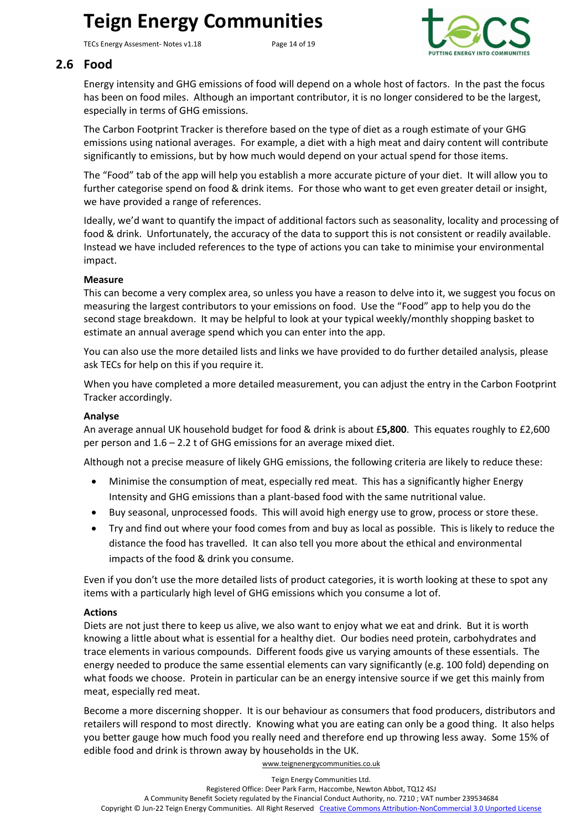TECs Energy Assesment- Notes v1.18 Page 14 of 19



### <span id="page-13-0"></span>**2.6 Food**

Energy intensity and GHG emissions of food will depend on a whole host of factors. In the past the focus has been on food miles. Although an important contributor, it is no longer considered to be the largest, especially in terms of GHG emissions.

The Carbon Footprint Tracker is therefore based on the type of diet as a rough estimate of your GHG emissions using national averages. For example, a diet with a high meat and dairy content will contribute significantly to emissions, but by how much would depend on your actual spend for those items.

The "Food" tab of the app will help you establish a more accurate picture of your diet. It will allow you to further categorise spend on food & drink items. For those who want to get even greater detail or insight, we have provided a range of references.

Ideally, we'd want to quantify the impact of additional factors such as seasonality, locality and processing of food & drink. Unfortunately, the accuracy of the data to support this is not consistent or readily available. Instead we have included references to the type of actions you can take to minimise your environmental impact.

#### **Measure**

This can become a very complex area, so unless you have a reason to delve into it, we suggest you focus on measuring the largest contributors to your emissions on food. Use the "Food" app to help you do the second stage breakdown. It may be helpful to look at your typical weekly/monthly shopping basket to estimate an annual average spend which you can enter into the app.

You can also use the more detailed lists and links we have provided to do further detailed analysis, please ask TECs for help on this if you require it.

When you have completed a more detailed measurement, you can adjust the entry in the Carbon Footprint Tracker accordingly.

#### **Analyse**

An average annual UK household budget for food & drink is about £**5,800**. This equates roughly to £2,600 per person and 1.6 – 2.2 t of GHG emissions for an average mixed diet.

Although not a precise measure of likely GHG emissions, the following criteria are likely to reduce these:

- Minimise the consumption of meat, especially red meat. This has a significantly higher Energy Intensity and GHG emissions than a plant-based food with the same nutritional value.
- Buy seasonal, unprocessed foods. This will avoid high energy use to grow, process or store these.
- Try and find out where your food comes from and buy as local as possible. This is likely to reduce the distance the food has travelled. It can also tell you more about the ethical and environmental impacts of the food & drink you consume.

Even if you don't use the more detailed lists of product categories, it is worth looking at these to spot any items with a particularly high level of GHG emissions which you consume a lot of.

#### **Actions**

Diets are not just there to keep us alive, we also want to enjoy what we eat and drink. But it is worth knowing a little about what is essential for a healthy diet. Our bodies need protein, carbohydrates and trace elements in various compounds. Different foods give us varying amounts of these essentials. The energy needed to produce the same essential elements can vary significantly (e.g. 100 fold) depending on what foods we choose. Protein in particular can be an energy intensive source if we get this mainly from meat, especially red meat.

Become a more discerning shopper. It is our behaviour as consumers that food producers, distributors and retailers will respond to most directly. Knowing what you are eating can only be a good thing. It also helps you better gauge how much food you really need and therefore end up throwing less away. Some 15% of edible food and drink is thrown away by households in the UK.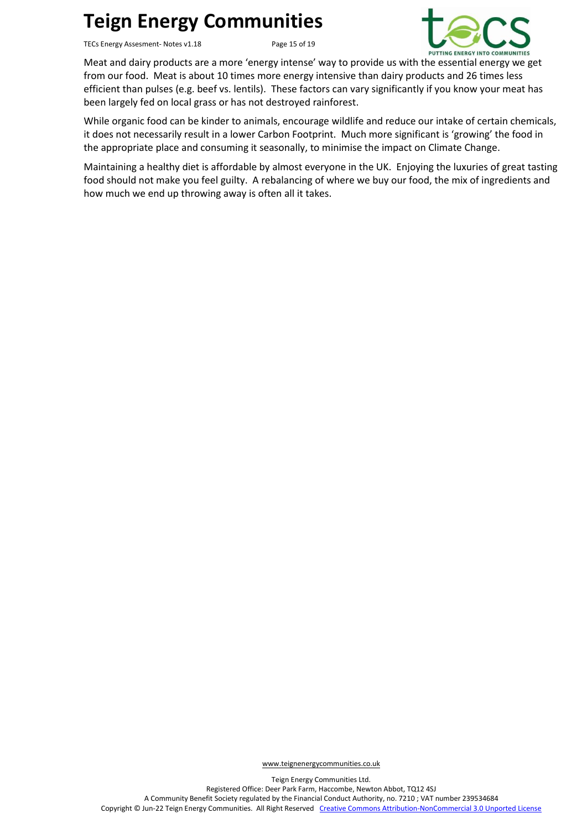TECs Energy Assesment- Notes v1.18 Page 15 of 19



Meat and dairy products are a more 'energy intense' way to provide us with the essential energy we get from our food. Meat is about 10 times more energy intensive than dairy products and 26 times less efficient than pulses (e.g. beef vs. lentils). These factors can vary significantly if you know your meat has been largely fed on local grass or has not destroyed rainforest.

While organic food can be kinder to animals, encourage wildlife and reduce our intake of certain chemicals, it does not necessarily result in a lower Carbon Footprint. Much more significant is 'growing' the food in the appropriate place and consuming it seasonally, to minimise the impact on Climate Change.

Maintaining a healthy diet is affordable by almost everyone in the UK. Enjoying the luxuries of great tasting food should not make you feel guilty. A rebalancing of where we buy our food, the mix of ingredients and how much we end up throwing away is often all it takes.

[www.teignenergycommunities.co.uk](http://www.transitionnewtonabbot.org.uk/)

Teign Energy Communities Ltd. Registered Office: Deer Park Farm, Haccombe, Newton Abbot, TQ12 4SJ A Community Benefit Society regulated by the Financial Conduct Authority, no. 7210 ; VAT number 239534684 Copyright © Jun-22 Teign Energy Communities. All Right Reserved [Creative Commons Attribution-NonCommercial 3.0 Unported License](http://creativecommons.org/licenses/by-nc/3.0/)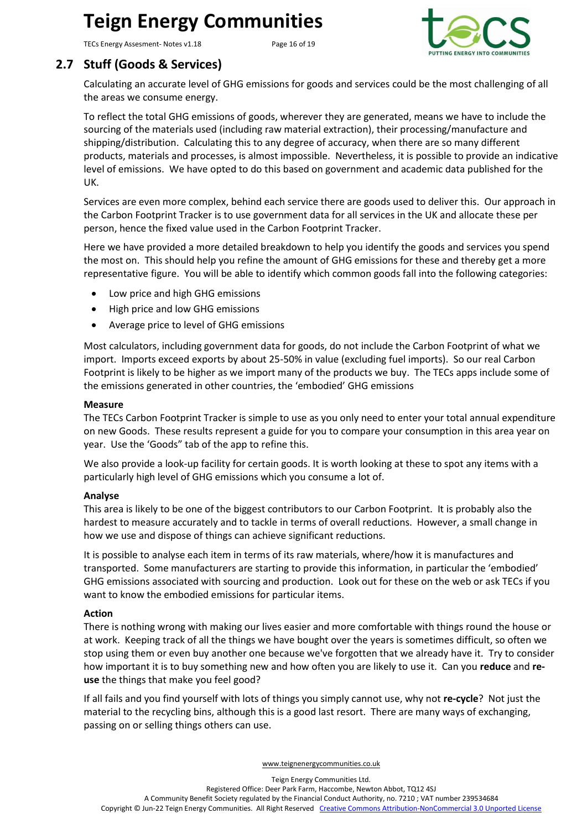TECs Energy Assesment- Notes v1.18 Page 16 of 19



### <span id="page-15-0"></span>**2.7 Stuff (Goods & Services)**

Calculating an accurate level of GHG emissions for goods and services could be the most challenging of all the areas we consume energy.

To reflect the total GHG emissions of goods, wherever they are generated, means we have to include the sourcing of the materials used (including raw material extraction), their processing/manufacture and shipping/distribution. Calculating this to any degree of accuracy, when there are so many different products, materials and processes, is almost impossible. Nevertheless, it is possible to provide an indicative level of emissions. We have opted to do this based on government and academic data published for the UK.

Services are even more complex, behind each service there are goods used to deliver this. Our approach in the Carbon Footprint Tracker is to use government data for all services in the UK and allocate these per person, hence the fixed value used in the Carbon Footprint Tracker.

Here we have provided a more detailed breakdown to help you identify the goods and services you spend the most on. This should help you refine the amount of GHG emissions for these and thereby get a more representative figure. You will be able to identify which common goods fall into the following categories:

- Low price and high GHG emissions
- High price and low GHG emissions
- Average price to level of GHG emissions

Most calculators, including government data for goods, do not include the Carbon Footprint of what we import. Imports exceed exports by about 25-50% in value (excluding fuel imports). So our real Carbon Footprint is likely to be higher as we import many of the products we buy. The TECs apps include some of the emissions generated in other countries, the 'embodied' GHG emissions

#### **Measure**

The TECs Carbon Footprint Tracker is simple to use as you only need to enter your total annual expenditure on new Goods. These results represent a guide for you to compare your consumption in this area year on year. Use the 'Goods" tab of the app to refine this.

We also provide a look-up facility for certain goods. It is worth looking at these to spot any items with a particularly high level of GHG emissions which you consume a lot of.

#### **Analyse**

This area is likely to be one of the biggest contributors to our Carbon Footprint. It is probably also the hardest to measure accurately and to tackle in terms of overall reductions. However, a small change in how we use and dispose of things can achieve significant reductions.

It is possible to analyse each item in terms of its raw materials, where/how it is manufactures and transported. Some manufacturers are starting to provide this information, in particular the 'embodied' GHG emissions associated with sourcing and production. Look out for these on the web or ask TECs if you want to know the embodied emissions for particular items.

#### **Action**

There is nothing wrong with making our lives easier and more comfortable with things round the house or at work. Keeping track of all the things we have bought over the years is sometimes difficult, so often we stop using them or even buy another one because we've forgotten that we already have it. Try to consider how important it is to buy something new and how often you are likely to use it. Can you **reduce** and **reuse** the things that make you feel good?

If all fails and you find yourself with lots of things you simply cannot use, why not **re-cycle**? Not just the material to the recycling bins, although this is a good last resort. There are many ways of exchanging, passing on or selling things others can use.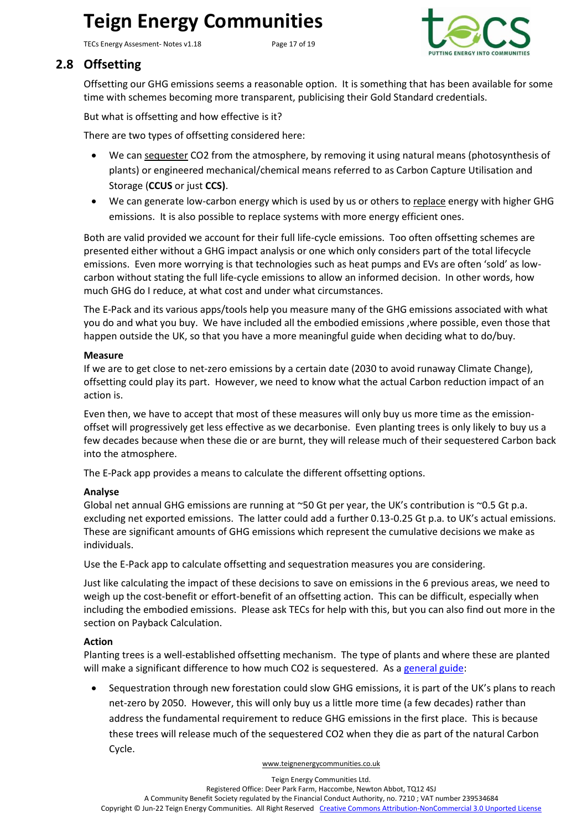TECs Energy Assesment- Notes v1.18 Page 17 of 19



### <span id="page-16-0"></span>**2.8 Offsetting**

Offsetting our GHG emissions seems a reasonable option. It is something that has been available for some time with schemes becoming more transparent, publicising their Gold Standard credentials.

But what is offsetting and how effective is it?

There are two types of offsetting considered here:

- We can sequester CO2 from the atmosphere, by removing it using natural means (photosynthesis of plants) or engineered mechanical/chemical means referred to as Carbon Capture Utilisation and Storage (**CCUS** or just **CCS)**.
- We can generate low-carbon energy which is used by us or others to replace energy with higher GHG emissions. It is also possible to replace systems with more energy efficient ones.

Both are valid provided we account for their full life-cycle emissions. Too often offsetting schemes are presented either without a GHG impact analysis or one which only considers part of the total lifecycle emissions. Even more worrying is that technologies such as heat pumps and EVs are often 'sold' as lowcarbon without stating the full life-cycle emissions to allow an informed decision. In other words, how much GHG do I reduce, at what cost and under what circumstances.

The E-Pack and its various apps/tools help you measure many of the GHG emissions associated with what you do and what you buy. We have included all the embodied emissions ,where possible, even those that happen outside the UK, so that you have a more meaningful guide when deciding what to do/buy.

#### **Measure**

If we are to get close to net-zero emissions by a certain date (2030 to avoid runaway Climate Change), offsetting could play its part. However, we need to know what the actual Carbon reduction impact of an action is.

Even then, we have to accept that most of these measures will only buy us more time as the emissionoffset will progressively get less effective as we decarbonise. Even planting trees is only likely to buy us a few decades because when these die or are burnt, they will release much of their sequestered Carbon back into the atmosphere.

The E-Pack app provides a means to calculate the different offsetting options.

#### **Analyse**

Global net annual GHG emissions are running at  $\sim$  50 Gt per year, the UK's contribution is  $\sim$  0.5 Gt p.a. excluding net exported emissions. The latter could add a further 0.13-0.25 Gt p.a. to UK's actual emissions. These are significant amounts of GHG emissions which represent the cumulative decisions we make as individuals.

Use the E-Pack app to calculate offsetting and sequestration measures you are considering.

Just like calculating the impact of these decisions to save on emissions in the 6 previous areas, we need to weigh up the cost-benefit or effort-benefit of an offsetting action. This can be difficult, especially when including the embodied emissions. Please ask TECs for help with this, but you can also find out more in the section on [Payback Calculation.](#page-18-0)

#### **Action**

Planting trees is a well-established offsetting mechanism. The type of plants and where these are planted will make a significant difference to how much CO2 is sequestered. As a [general guide:](https://www.carbonbrief.org/in-depth-qa-how-will-tree-planting-help-the-uk-meet-its-climate-goals)

• Sequestration through new forestation could slow GHG emissions, it is part of the UK's plans to reach net-zero by 2050. However, this will only buy us a little more time (a few decades) rather than address the fundamental requirement to reduce GHG emissions in the first place. This is because these trees will release much of the sequestered CO2 when they die as part of the natural Carbon Cycle.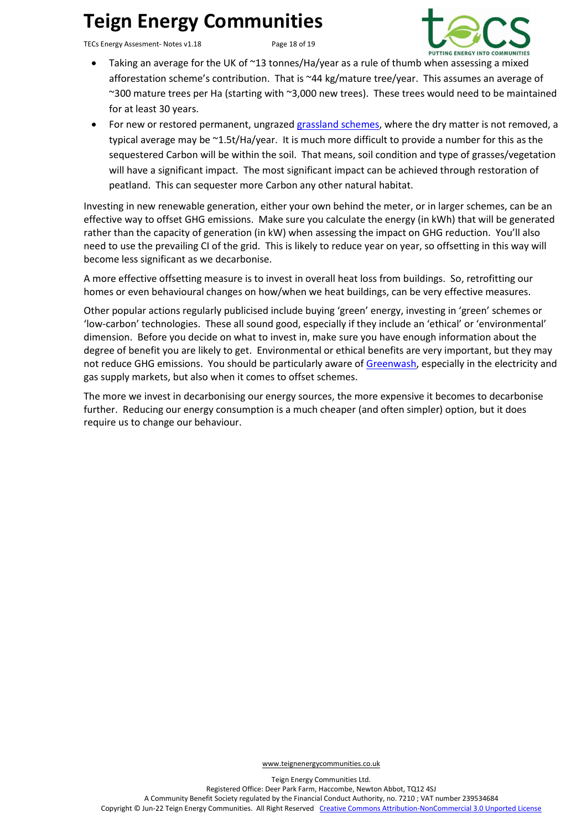TECs Energy Assesment- Notes v1.18 Page 18 of 19



- Taking an average for the UK of ~13 tonnes/Ha/year as a rule of thumb when assessing a mixed afforestation scheme's contribution. That is ~44 kg/mature tree/year. This assumes an average of ~300 mature trees per Ha (starting with ~3,000 new trees). These trees would need to be maintained for at least 30 years.
- For new or restored permanent, ungrazed [grassland schemes,](http://publications.naturalengland.org.uk/publication/5419124441481216) where the dry matter is not removed, a typical average may be ~1.5t/Ha/year. It is much more difficult to provide a number for this as the sequestered Carbon will be within the soil. That means, soil condition and type of grasses/vegetation will have a significant impact. The most significant impact can be achieved through restoration of peatland. This can sequester more Carbon any other natural habitat.

Investing in new renewable generation, either your own behind the meter, or in larger schemes, can be an effective way to offset GHG emissions. Make sure you calculate the energy (in kWh) that will be generated rather than the capacity of generation (in kW) when assessing the impact on GHG reduction. You'll also need to use the prevailing CI of the grid. This is likely to reduce year on year, so offsetting in this way will become less significant as we decarbonise.

A more effective offsetting measure is to invest in overall heat loss from buildings. So, retrofitting our homes or even behavioural changes on how/when we heat buildings, can be very effective measures.

Other popular actions regularly publicised include buying 'green' energy, investing in 'green' schemes or 'low-carbon' technologies. These all sound good, especially if they include an 'ethical' or 'environmental' dimension. Before you decide on what to invest in, make sure you have enough information about the degree of benefit you are likely to get. Environmental or ethical benefits are very important, but they may not reduce GHG emissions. You should be particularly aware o[f Greenwash,](http://teignenergycommunities.co.uk/about-tecs/documents/#1601631878093-5aff361c-934a) especially in the electricity and gas supply markets, but also when it comes to offset schemes.

The more we invest in decarbonising our energy sources, the more expensive it becomes to decarbonise further. Reducing our energy consumption is a much cheaper (and often simpler) option, but it does require us to change our behaviour.